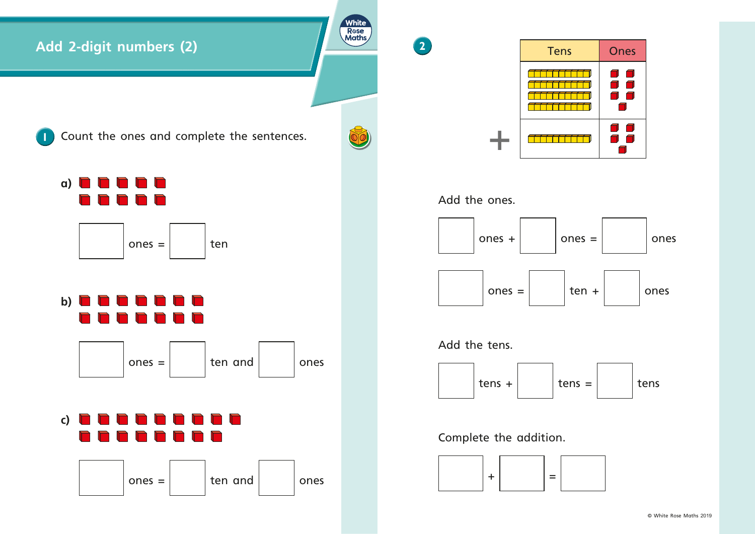